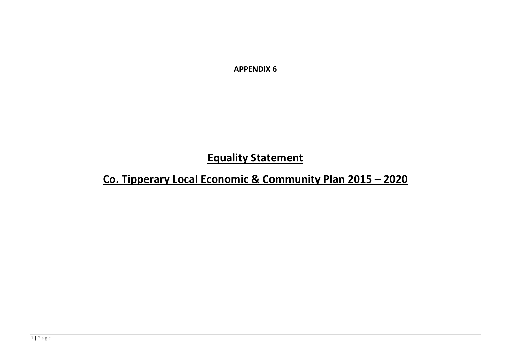**APPENDIX 6**

**Equality Statement** 

**Co. Tipperary Local Economic & Community Plan 2015 – 2020**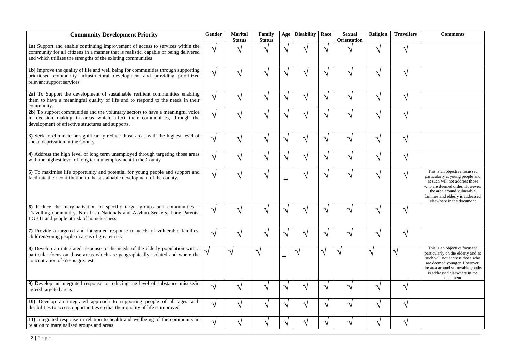| <b>Community Development Priority</b>                                                                                                                                                                                                  | <b>Gender</b>          | <b>Marital</b><br><b>Status</b> | Family<br><b>Status</b> | Age                    | Disability    | Race | <b>Sexual</b><br><b>Orientation</b> | Religion                   | <b>Travellers</b>          | <b>Comments</b>                                                                                                                                                                                                                       |
|----------------------------------------------------------------------------------------------------------------------------------------------------------------------------------------------------------------------------------------|------------------------|---------------------------------|-------------------------|------------------------|---------------|------|-------------------------------------|----------------------------|----------------------------|---------------------------------------------------------------------------------------------------------------------------------------------------------------------------------------------------------------------------------------|
| 1a) Support and enable continuing improvement of access to services within the<br>community for all citizens in a manner that is realistic, capable of being delivered<br>and which utilizes the strengths of the existing communities |                        |                                 |                         | ٦.                     |               |      |                                     |                            |                            |                                                                                                                                                                                                                                       |
| <b>1b</b> ) Improve the quality of life and well being for communities through supporting<br>prioritised community infrastructural development and providing prioritized<br>relevant support services                                  |                        |                                 |                         | $\boldsymbol{\Lambda}$ |               |      |                                     | へ                          | $\triangleleft$            |                                                                                                                                                                                                                                       |
| 2a) To Support the development of sustainable resilient communities enabling<br>them to have a meaningful quality of life and to respond to the needs in their<br>community.                                                           |                        |                                 |                         | 1.                     |               |      | ᄾ                                   | へ                          | $\triangleleft$            |                                                                                                                                                                                                                                       |
| 2b) To support communities and the voluntary sectors to have a meaningful voice<br>in decision making in areas which affect their communities, through the<br>development of effective structures and supports.                        |                        |                                 |                         | ٦                      |               |      |                                     |                            | $\boldsymbol{\mathcal{A}}$ |                                                                                                                                                                                                                                       |
| 3) Seek to eliminate or significantly reduce those areas with the highest level of<br>social deprivation in the County                                                                                                                 | $\triangleleft$        |                                 |                         | $\boldsymbol{\Lambda}$ |               |      |                                     | $\boldsymbol{\mathcal{A}}$ | $\boldsymbol{\mathcal{A}}$ |                                                                                                                                                                                                                                       |
| 4) Address the high level of long term unemployed through targeting those areas<br>with the highest level of long term unemployment in the County                                                                                      |                        |                                 |                         | $\mathcal{N}$          | $\mathcal{N}$ |      |                                     | $\mathcal{N}$              | $\boldsymbol{\gamma}$      |                                                                                                                                                                                                                                       |
| 5) To maximise life opportunity and potential for young people and support and<br>facilitate their contribution to the sustainable development of the county.                                                                          |                        |                                 |                         |                        | $\mathcal{N}$ |      | $\boldsymbol{\mathcal{L}}$          | $\boldsymbol{\Lambda}$     | $\boldsymbol{\Lambda}$     | This is an objective focussed<br>particularly at young people and<br>as such will not address those<br>who are deemed older. However,<br>the area around vulnerable<br>families and elderly is addressed<br>elsewhere in the document |
| 6) Reduce the marginalisation of specific target groups and communities<br>Travelling community, Non Irish Nationals and Asylum Seekers, Lone Parents,<br>LGBTI and people at risk of homelessness                                     |                        |                                 |                         | ᄾ                      |               |      |                                     |                            |                            |                                                                                                                                                                                                                                       |
| 7) Provide a targeted and integrated response to needs of vulnerable families,<br>children/young people in areas of greater risk                                                                                                       |                        |                                 |                         | $\boldsymbol{\Lambda}$ |               |      |                                     | ᄾ                          | $\triangleleft$            |                                                                                                                                                                                                                                       |
| 8) Develop an integrated response to the needs of the elderly population with a<br>particular focus on those areas which are geographically isolated and where the<br>concentration of $65+$ is greatest                               |                        |                                 |                         | $\mathbf{r}$           |               |      |                                     |                            |                            | This is an objective focussed<br>particularly on the elderly and as<br>such will not address those who<br>are deemed younger. However,<br>the area around vulnerable youths<br>is addressed elsewhere in the<br>document              |
| 9) Develop an integrated response to reducing the level of substance misuse/in<br>agreed targeted areas                                                                                                                                | $\boldsymbol{\Lambda}$ |                                 |                         | $\boldsymbol{\Lambda}$ |               |      |                                     | $\boldsymbol{\Lambda}$     | $\triangleleft$            |                                                                                                                                                                                                                                       |
| 10) Develop an integrated approach to supporting people of all ages with<br>disabilities to access opportunities so that their quality of life is improved                                                                             | $\boldsymbol{\gamma}$  |                                 |                         | $\mathcal{N}$          |               |      | $\Delta$                            | $\mathcal{N}$              | $\boldsymbol{\Lambda}$     |                                                                                                                                                                                                                                       |
| 11) Integrated response in relation to health and wellbeing of the community in<br>relation to marginalised groups and areas                                                                                                           | $\triangleleft$        |                                 |                         | $\boldsymbol{\Lambda}$ | $\Delta l$    |      |                                     | $\Delta$                   | $\Delta$                   |                                                                                                                                                                                                                                       |

| <b>Disability</b> | Race | <b>Sexual</b><br>Orientation | Religion | <b>Travellers</b> | <b>Comments</b>                                                                                                                                                                                                                       |
|-------------------|------|------------------------------|----------|-------------------|---------------------------------------------------------------------------------------------------------------------------------------------------------------------------------------------------------------------------------------|
|                   |      |                              |          |                   |                                                                                                                                                                                                                                       |
|                   |      |                              |          |                   |                                                                                                                                                                                                                                       |
|                   |      |                              |          |                   |                                                                                                                                                                                                                                       |
|                   |      |                              |          |                   |                                                                                                                                                                                                                                       |
|                   |      |                              |          |                   |                                                                                                                                                                                                                                       |
|                   |      |                              |          |                   |                                                                                                                                                                                                                                       |
|                   |      |                              |          |                   | This is an objective focussed<br>particularly at young people and<br>as such will not address those<br>who are deemed older. However,<br>the area around vulnerable<br>families and elderly is addressed<br>elsewhere in the document |
|                   |      |                              |          |                   |                                                                                                                                                                                                                                       |
|                   |      |                              |          |                   |                                                                                                                                                                                                                                       |
|                   |      |                              |          |                   | This is an objective focussed<br>particularly on the elderly and as<br>such will not address those who<br>are deemed younger. However,<br>the area around vulnerable youths<br>is addressed elsewhere in the<br>document              |
|                   |      |                              |          |                   |                                                                                                                                                                                                                                       |
|                   |      |                              |          |                   |                                                                                                                                                                                                                                       |
|                   |      |                              |          |                   |                                                                                                                                                                                                                                       |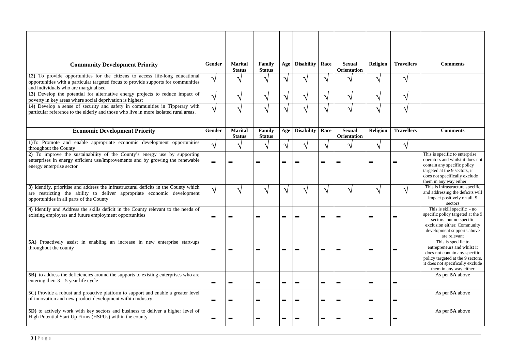| <b>Community Development Priority</b>                                                                                                                                                                       | <b>Gender</b>          | <b>Marital</b><br><b>Status</b> | Family<br><b>Status</b> | Age | <b>Disability</b> | Race                      | <b>Sexual</b><br><b>Orientation</b> | <b>Religion</b>            | <b>Travellers</b>     | <b>Comments</b>                                                                                                                                                                               |
|-------------------------------------------------------------------------------------------------------------------------------------------------------------------------------------------------------------|------------------------|---------------------------------|-------------------------|-----|-------------------|---------------------------|-------------------------------------|----------------------------|-----------------------|-----------------------------------------------------------------------------------------------------------------------------------------------------------------------------------------------|
| 12) To provide opportunities for the citizens to access life-long educational<br>opportunities with a particular targeted focus to provide supports for communities<br>and individuals who are marginalised | $\boldsymbol{\Lambda}$ |                                 |                         |     | へ                 |                           |                                     | $\boldsymbol{\gamma}$      |                       |                                                                                                                                                                                               |
| 13) Develop the potential for alternative energy projects to reduce impact of<br>poverty in key areas where social deprivation is highest                                                                   | $\Delta$               |                                 | $\boldsymbol{\Lambda}$  |     | ᄾ                 | $\triangleleft$           |                                     | $\boldsymbol{\gamma}$      | ᄾ                     |                                                                                                                                                                                               |
| 14) Develop a sense of security and safety in communities in Tipperary with<br>particular reference to the elderly and those who live in more isolated rural areas.                                         | ٦١                     |                                 | $\Delta$                |     | $\mathcal{L}$     | $\Delta$                  |                                     | $\boldsymbol{\Lambda}$     | $\boldsymbol{\gamma}$ |                                                                                                                                                                                               |
| <b>Economic Development Priority</b>                                                                                                                                                                        | <b>Gender</b>          | <b>Marital</b><br><b>Status</b> | Family<br><b>Status</b> | Age | Disability        | Race                      | <b>Sexual</b><br><b>Orientation</b> | <b>Religion</b>            | <b>Travellers</b>     | <b>Comments</b>                                                                                                                                                                               |
| 1)To Promote and enable appropriate economic development opportunities<br>throughout the County                                                                                                             | $\mathcal{L}$          |                                 | $\boldsymbol{\Lambda}$  |     | 1                 | $\triangle$               |                                     | $\boldsymbol{\Lambda}$     | ᄾ                     |                                                                                                                                                                                               |
| 2) To improve the sustainability of the County's energy use by supporting<br>enterprises in energy efficient use/improvements and by growing the renewable<br>energy enterprise sector                      |                        |                                 |                         |     |                   | <b>Contract</b>           |                                     |                            |                       | This is specific to enterprise<br>operators and whilst it does not<br>contain any specific policy<br>targeted at the 9 sectors, it<br>does not specifically exclude<br>them in any way either |
| 3) Identify, prioritise and address the infrastructural deficits in the County which<br>are restricting the ability to deliver appropriate economic development<br>opportunities in all parts of the County | $\mathcal{L}$          |                                 |                         |     | ᄾ                 |                           |                                     | $\Delta$                   |                       | This is infrastructure specific<br>and addressing the deficits will<br>impact positively on all 9<br>sectors                                                                                  |
| 4) Identify and Address the skills deficit in the County relevant to the needs of<br>existing employers and future employment opportunities                                                                 |                        |                                 |                         |     |                   |                           |                                     |                            |                       | This is skill specific - no<br>specific policy targeted at the 9<br>sectors but no specific<br>exclusion either. Community<br>development supports above<br>are relevant                      |
| 5A) Proactively assist in enabling an increase in new enterprise start-ups<br>throughout the county                                                                                                         |                        |                                 |                         |     |                   | <b>The Second</b>         |                                     |                            |                       | This is specific to<br>entrepreneurs and whilst it<br>does not contain any specific<br>policy targeted at the 9 sectors,<br>it does not specifically exclude<br>them in any way either        |
| <b>5B</b> ) to address the deficiencies around the supports to existing enterprises who are<br>entering their $3 - 5$ year life cycle                                                                       |                        |                                 |                         |     |                   | <b>The Second Service</b> |                                     | $\blacksquare$             | $\blacksquare$        | As per 5A above                                                                                                                                                                               |
| 5C) Provide a robust and proactive platform to support and enable a greater level<br>of innovation and new product development within industry                                                              |                        |                                 |                         |     |                   | <b>The Second</b>         |                                     | $\blacksquare$             | $\blacksquare$        | As per 5A above                                                                                                                                                                               |
| 5D) to actively work with key sectors and business to deliver a higher level of<br>High Potential Start Up Firms (HSPUs) within the county                                                                  |                        |                                 |                         |     |                   | <b>The Co</b>             |                                     | $\mathcal{L}_{\text{max}}$ | $\blacksquare$        | As per 5A above                                                                                                                                                                               |

| <b>Religion</b> | <b>Travellers</b> | <b>Comments</b>                                                                                                                                                                               |
|-----------------|-------------------|-----------------------------------------------------------------------------------------------------------------------------------------------------------------------------------------------|
|                 |                   |                                                                                                                                                                                               |
|                 |                   |                                                                                                                                                                                               |
|                 |                   |                                                                                                                                                                                               |
|                 |                   |                                                                                                                                                                                               |
| <b>Religion</b> | <b>Travellers</b> | <b>Comments</b>                                                                                                                                                                               |
|                 |                   |                                                                                                                                                                                               |
|                 |                   | This is specific to enterprise<br>operators and whilst it does not<br>contain any specific policy<br>targeted at the 9 sectors, it<br>does not specifically exclude<br>them in any way either |
|                 |                   | This is infrastructure specific<br>and addressing the deficits will<br>impact positively on all 9<br>sectors                                                                                  |
|                 |                   | This is skill specific - no<br>specific policy targeted at the 9<br>sectors but no specific<br>exclusion either. Community<br>development supports above<br>are relevant                      |
|                 |                   | This is specific to<br>entrepreneurs and whilst it<br>does not contain any specific<br>policy targeted at the 9 sectors,<br>it does not specifically exclude<br>them in any way either        |
|                 |                   | As per 5A above                                                                                                                                                                               |
|                 |                   | As per 5A above                                                                                                                                                                               |
|                 |                   | As per 5A above                                                                                                                                                                               |